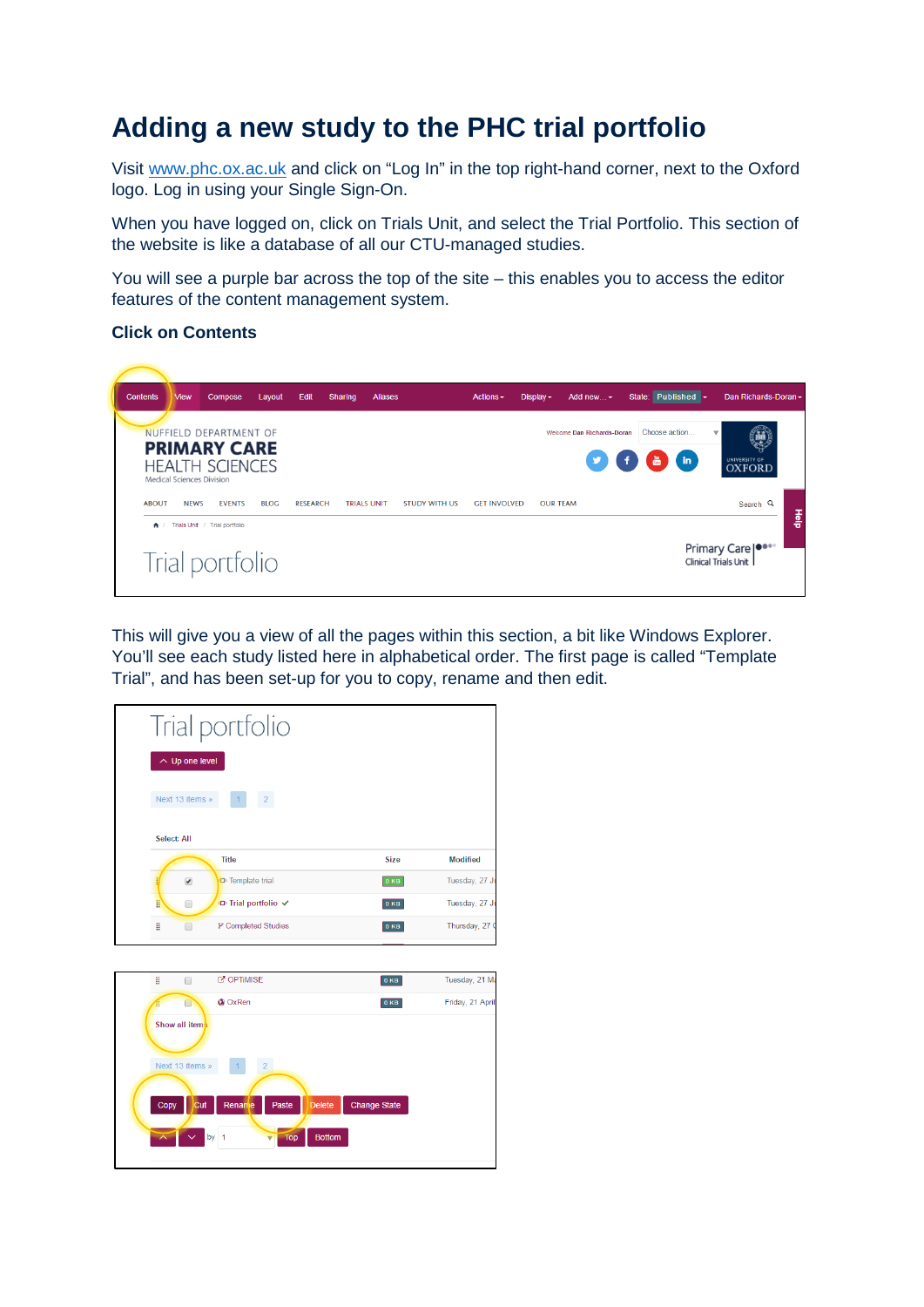# **Adding a new study to the PHC trial portfolio**

Visit [www.phc.ox.ac.uk](http://www.phc.ox.ac.uk/) and click on "Log In" in the top right-hand corner, next to the Oxford logo. Log in using your Single Sign-On.

When you have logged on, click on Trials Unit, and select the Trial Portfolio. This section of the website is like a database of all our CTU-managed studies.

You will see a purple bar across the top of the site – this enables you to access the editor features of the content management system.

#### **Click on Contents**



This will give you a view of all the pages within this section, a bit like Windows Explorer. You'll see each study listed here in alphabetical order. The first page is called "Template" Trial", and has been set-up for you to copy, rename and then edit.

|                           | Trial portfolio                         |                     |                  |  |  |  |  |  |
|---------------------------|-----------------------------------------|---------------------|------------------|--|--|--|--|--|
| $\sim$ Up one level       |                                         |                     |                  |  |  |  |  |  |
| Next 13 items »           | $\vert 2 \vert$                         |                     |                  |  |  |  |  |  |
| Select: All               |                                         |                     |                  |  |  |  |  |  |
|                           | <b>Title</b>                            | <b>Size</b>         | <b>Modified</b>  |  |  |  |  |  |
| ä<br>$\blacktriangledown$ | <b>D</b> Template trial                 | 0 KB                | Tuesday, 27 Ju   |  |  |  |  |  |
| H<br>$\Box$               | □ Trial portfolio ✔                     | 0 <sub>KB</sub>     | Tuesday, 27 Ju   |  |  |  |  |  |
| H<br>∩                    | P Completed Studies                     | 0 KB                | Thursday, 27 0   |  |  |  |  |  |
|                           |                                         |                     |                  |  |  |  |  |  |
| Ħ.<br>$\Box$              | C'OPTIMISE                              | 0 KB                | Tuesday, 21 Ma   |  |  |  |  |  |
| 4<br>п                    | <b>C</b> OxRen                          | 0 KB                | Friday, 21 April |  |  |  |  |  |
| Show all items            |                                         |                     |                  |  |  |  |  |  |
| Next 13 items »           | $\overline{2}$                          |                     |                  |  |  |  |  |  |
|                           |                                         |                     |                  |  |  |  |  |  |
| Copy                      | Renane<br>Paste<br><b>Delete</b><br>Cut | <b>Change State</b> |                  |  |  |  |  |  |
|                           | by $1$<br><b>Top</b>                    | <b>Bottom</b>       |                  |  |  |  |  |  |
|                           |                                         |                     |                  |  |  |  |  |  |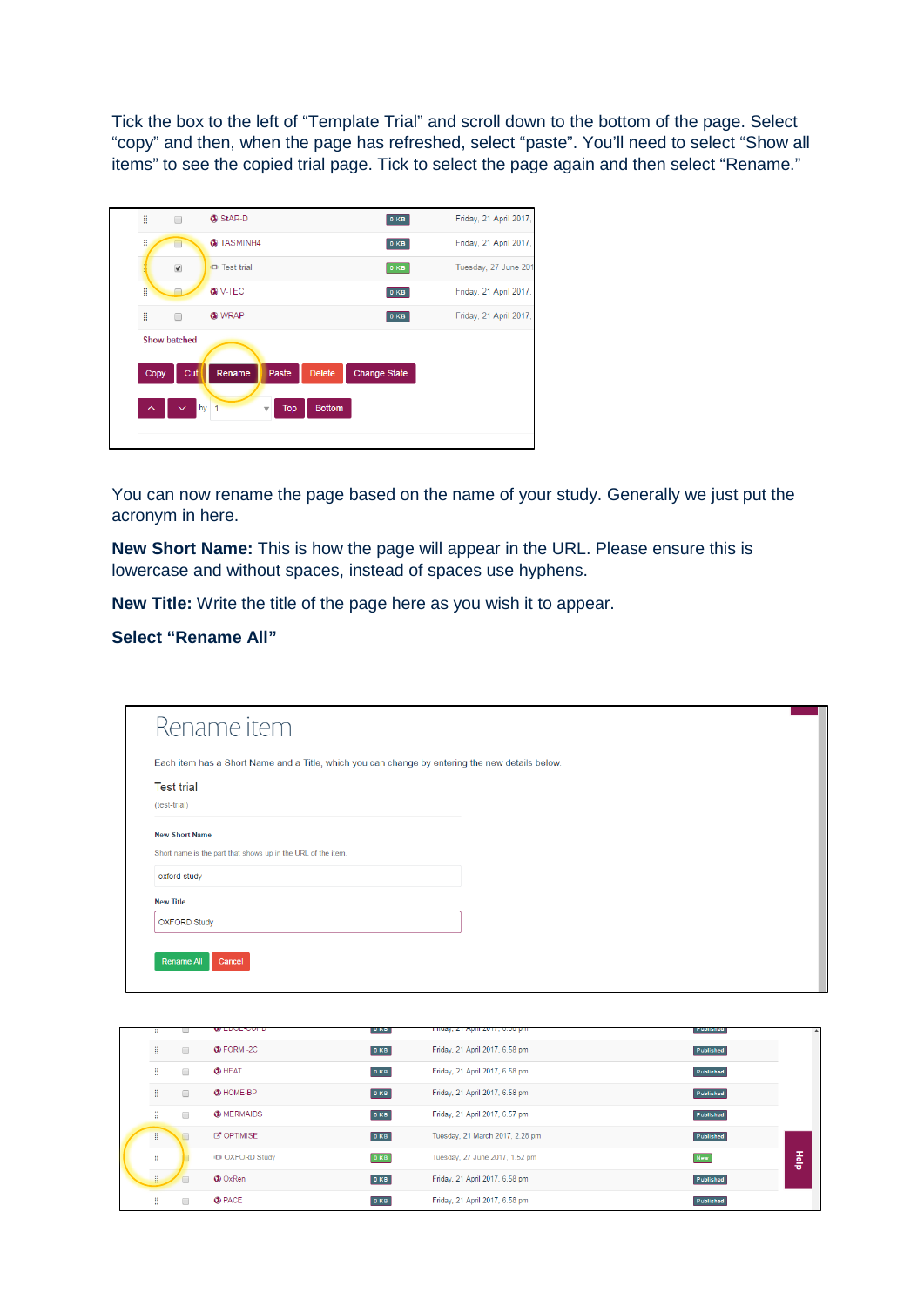Tick the box to the left of "Template Trial" and scroll down to the bottom of the page. Select "copy" and then, when the page has refreshed, select "paste". You'll need to select "Show all items" to see the copied trial page. Tick to select the page again and then select "Rename."

| Η                        | ⊓                    | StAR-D               |                        |                     | 0 <sub>KB</sub> | Friday, 21 April 2017, |
|--------------------------|----------------------|----------------------|------------------------|---------------------|-----------------|------------------------|
| H                        | ┓                    | <b>C</b> TASMINH4    |                        |                     | 0 KB            | Friday, 21 April 2017, |
|                          | $\blacktriangledown$ | <b>ID</b> Test trial |                        |                     | 0 KB            | Tuesday, 27 June 201   |
| H                        |                      | <b>O</b> V-TEC       |                        |                     | 0 KB            | Friday, 21 April 2017, |
| Β                        | □                    | <b>CO</b> WRAP       |                        |                     | 0 KB            | Friday, 21 April 2017, |
|                          | <b>Show batched</b>  |                      |                        |                     |                 |                        |
| Copy                     | Cut                  | Rename               | <b>Delete</b><br>Paste | <b>Change State</b> |                 |                        |
|                          |                      |                      |                        |                     |                 |                        |
| $\overline{\phantom{1}}$ | $\checkmark$         | by<br>$\overline{1}$ | <b>Top</b><br>Δ        | <b>Bottom</b>       |                 |                        |
|                          |                      |                      |                        |                     |                 |                        |
|                          |                      |                      |                        |                     |                 |                        |

You can now rename the page based on the name of your study. Generally we just put the acronym in here.

**New Short Name:** This is how the page will appear in the URL. Please ensure this is lowercase and without spaces, instead of spaces use hyphens.

**New Title:** Write the title of the page here as you wish it to appear.

### **Select "Rename All"**

| Rename item                                                                                     |  |  |
|-------------------------------------------------------------------------------------------------|--|--|
| Each item has a Short Name and a Title, which you can change by entering the new details below. |  |  |
| <b>Test trial</b>                                                                               |  |  |
| (test-trial)                                                                                    |  |  |
| <b>New Short Name</b>                                                                           |  |  |
| Short name is the part that shows up in the URL of the item.                                    |  |  |
| oxford-study                                                                                    |  |  |
| <b>New Title</b>                                                                                |  |  |
| <b>OXFORD Study</b>                                                                             |  |  |

|   |        | WEDOEFOOI E             | <b>UND</b> | Thuay, 21 April 2011, 0.00 pm   | Lanusuca   |      |
|---|--------|-------------------------|------------|---------------------------------|------------|------|
| Η | $\Box$ | <b>C</b> FORM -2C       | 0 KB       | Friday, 21 April 2017, 6.58 pm  | Published  |      |
| Η | $\Box$ | <b>O</b> HEAT           | 0 KB       | Friday, 21 April 2017, 6.58 pm  | Published  |      |
| ÷ | $\Box$ | <b>CO</b> HOME-BP       | 0 KB       | Friday, 21 April 2017, 6.58 pm  | Published  |      |
| Η | $\Box$ | <b>WERMAIDS</b>         | 0KB        | Friday, 21 April 2017, 6.57 pm  | Published  |      |
| π | $\Box$ | <b>C'OPTIMISE</b>       | 0 KB       | Tuesday, 21 March 2017, 2.28 pm | Published  |      |
| ÷ |        | <b>IDI OXFORD Study</b> | 0 KB       | Tuesday, 27 June 2017, 1.52 pm  | <b>New</b> | Help |
| ÷ | $\Box$ | <b>Co</b> OxRen         | 0 KB       | Friday, 21 April 2017, 6.58 pm  | Published  |      |
| Η |        | <b>CO</b> PACE          | 0KB        | Friday, 21 April 2017, 6.58 pm  | Published  |      |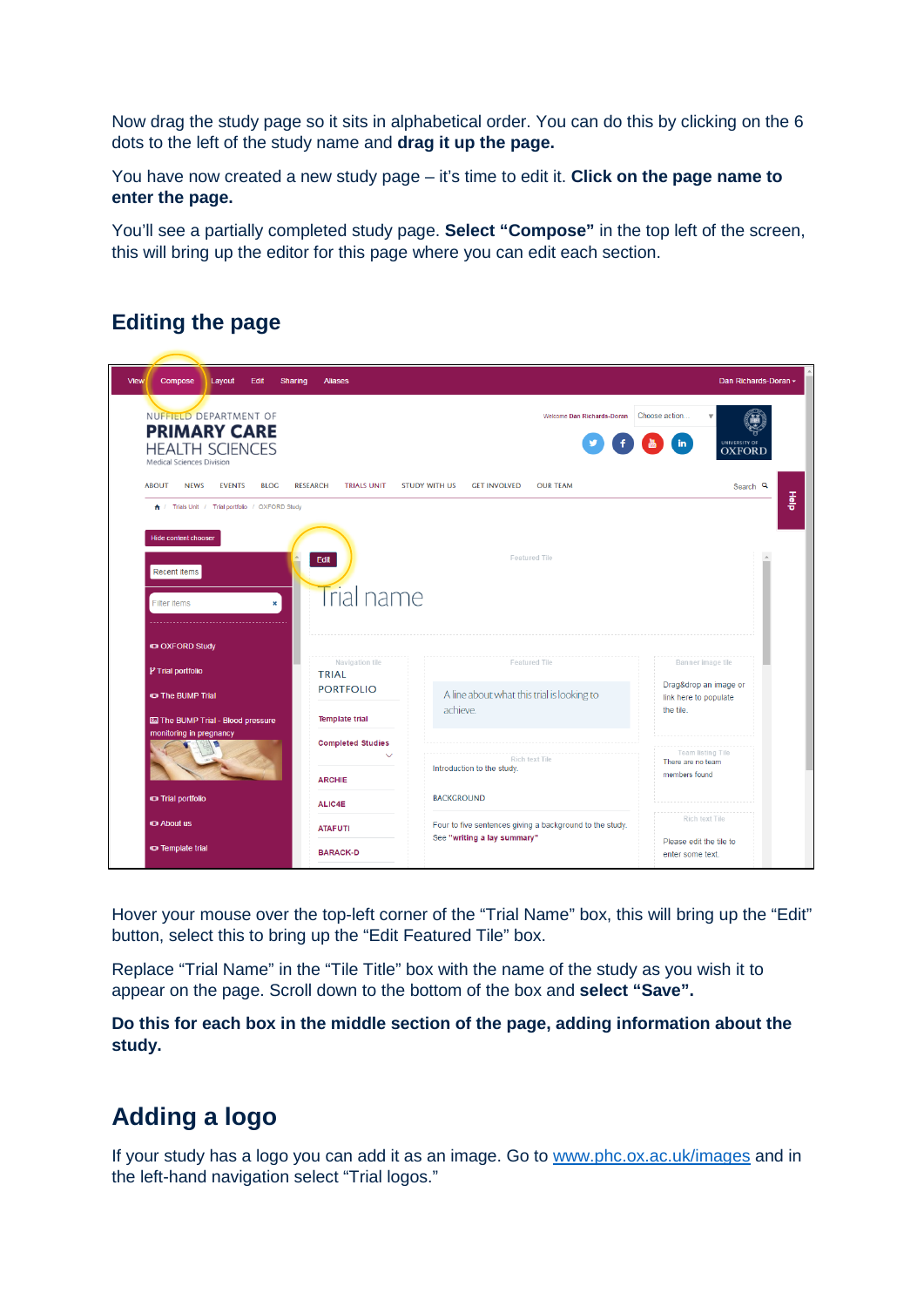Now drag the study page so it sits in alphabetical order. You can do this by clicking on the 6 dots to the left of the study name and **drag it up the page.**

You have now created a new study page – it's time to edit it. **Click on the page name to enter the page.**

You'll see a partially completed study page. **Select "Compose"** in the top left of the screen, this will bring up the editor for this page where you can edit each section.

### **Editing the page**

| Compose<br>Layout                                                                                    | <b>Sharing</b><br><b>Aliases</b>      |                                                                                         | Dan Richards-Doran -                                                                             |
|------------------------------------------------------------------------------------------------------|---------------------------------------|-----------------------------------------------------------------------------------------|--------------------------------------------------------------------------------------------------|
| NUFFIELD DEPARTMENT OF<br><b>PRIMARY CARE</b><br><b>HEALTH SCIENCES</b><br>Medical Sciences Division |                                       | Welcome Dan Richards-Doran                                                              | Choose action<br>$\overline{\mathbf{v}}$<br>$\frac{1}{2}$ (in)<br>UNIVERSITY OF<br><b>OXFORD</b> |
| <b>ABOUT</b><br><b>NEWS</b><br><b>EVENTS</b><br><b>BLOG</b>                                          | <b>RESEARCH</b><br><b>TRIALS UNIT</b> | <b>STUDY WITH US</b><br><b>CET INVOLVED</b><br><b>OUR TEAM</b>                          | Search <sup>Q</sup>                                                                              |
| A / Trials Unit / Trial portfolio / OXFORD Study                                                     |                                       |                                                                                         | 흛                                                                                                |
| <b>Hide content chooser</b>                                                                          |                                       |                                                                                         |                                                                                                  |
|                                                                                                      | Edit                                  | Featured Tile                                                                           |                                                                                                  |
| Recent items                                                                                         |                                       |                                                                                         |                                                                                                  |
| Filter items<br>$\mathbf{x}$                                                                         | Trial name                            |                                                                                         |                                                                                                  |
|                                                                                                      |                                       |                                                                                         |                                                                                                  |
|                                                                                                      |                                       |                                                                                         |                                                                                                  |
|                                                                                                      |                                       |                                                                                         |                                                                                                  |
| <b>IDI OXFORD Study</b>                                                                              | Navigation tile                       | Featured Tile                                                                           | Banner image tile                                                                                |
| P Trial portfolio                                                                                    | TRIAL<br><b>PORTFOLIO</b>             |                                                                                         | Drag&drop an image or                                                                            |
| <b>IDI The BUMP Trial</b>                                                                            |                                       | A line about what this trial is looking to<br>achieve.                                  | link here to populate<br>the tile.                                                               |
| <b>Ed The BUMP Trial - Blood pressure</b>                                                            | <b>Template trial</b>                 |                                                                                         |                                                                                                  |
| monitoring in pregnancy                                                                              | <b>Completed Studies</b>              |                                                                                         |                                                                                                  |
|                                                                                                      | $\sim$                                | Rich text Tile<br>Introduction to the study.                                            | Team listing Tile<br>There are no team                                                           |
|                                                                                                      | <b>ARCHIE</b>                         |                                                                                         | members found                                                                                    |
| <b>IDI Trial portfolio</b>                                                                           | ALIC4E                                | <b>BACKGROUND</b>                                                                       |                                                                                                  |
| <b>IDI About us</b>                                                                                  | <b>ATAFUTI</b>                        | Four to five sentences giving a background to the study.<br>See "writing a lay summary" | Rich text Tile<br>Please edit the tile to                                                        |

Hover your mouse over the top-left corner of the "Trial Name" box, this will bring up the "Edit" button, select this to bring up the "Edit Featured Tile" box.

Replace "Trial Name" in the "Tile Title" box with the name of the study as you wish it to appear on the page. Scroll down to the bottom of the box and **select "Save".** 

**Do this for each box in the middle section of the page, adding information about the study.**

# **Adding a logo**

If your study has a logo you can add it as an image. Go to [www.phc.ox.ac.uk/images](http://www.phc.ox.ac.uk/images) and in the left-hand navigation select "Trial logos."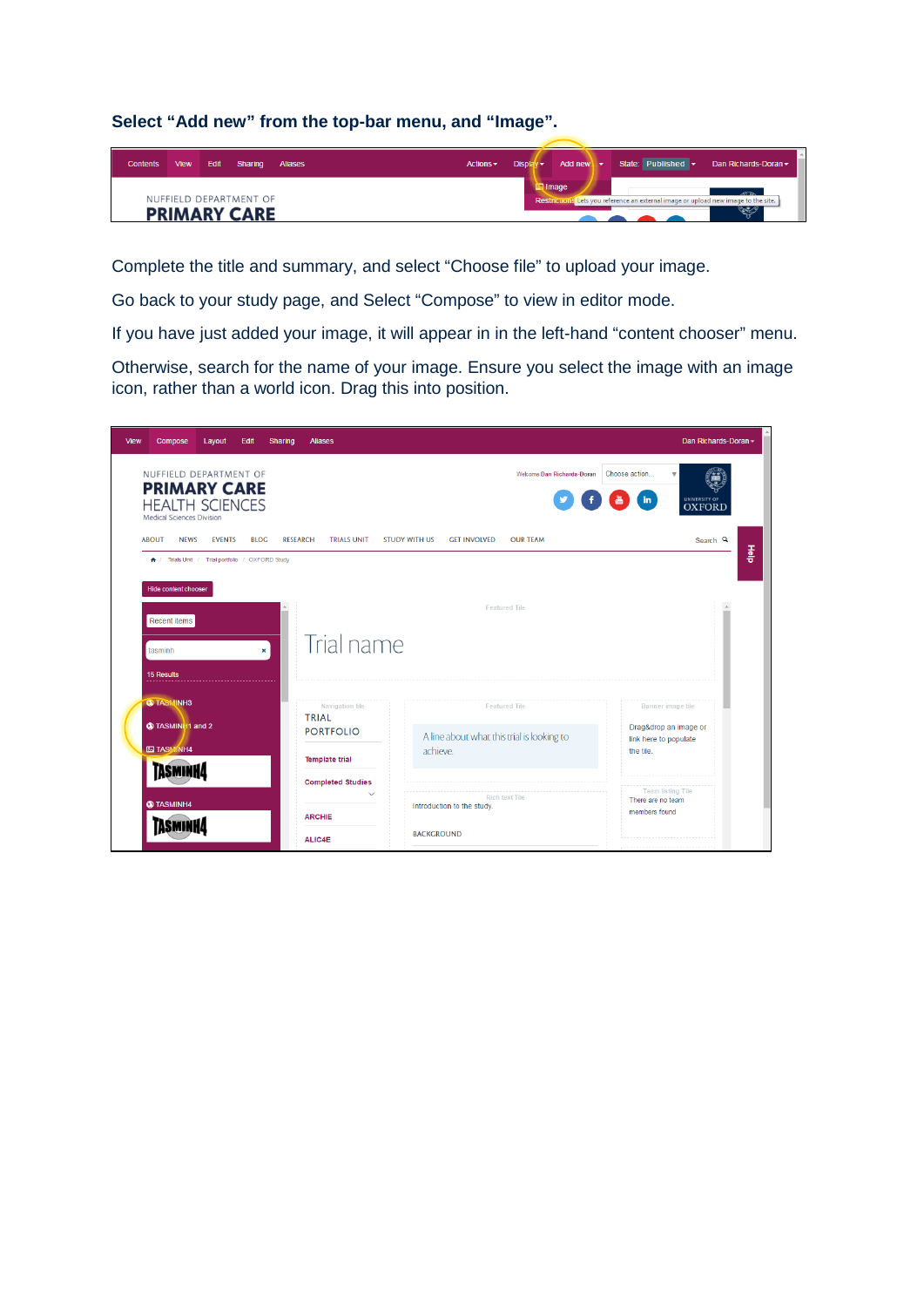**Select "Add new" from the top-bar menu, and "Image".** 



Complete the title and summary, and select "Choose file" to upload your image.

Go back to your study page, and Select "Compose" to view in editor mode.

If you have just added your image, it will appear in in the left-hand "content chooser" menu.

Otherwise, search for the name of your image. Ensure you select the image with an image icon, rather than a world icon. Drag this into position.

| View | Compose                                                                                                     | Layout        | Edit         | Sharing                                  | <b>Aliases</b>     |                                            |                                              |                                                |           |                                    |                                                | Dan Richards-Doran - |  |
|------|-------------------------------------------------------------------------------------------------------------|---------------|--------------|------------------------------------------|--------------------|--------------------------------------------|----------------------------------------------|------------------------------------------------|-----------|------------------------------------|------------------------------------------------|----------------------|--|
|      | NUFFIELD DEPARTMENT OF<br><b>PRIMARY CARE</b><br><b>HEALTH SCIENCES</b><br><b>Medical Sciences Division</b> |               |              |                                          |                    |                                            |                                              | Welcome Dan Richards-Doran                     |           | Choose action<br>$\mathbf{in}$     | $\mathbf{v}$<br>UNIVERSITY OF<br><b>OXFORD</b> |                      |  |
|      | <b>ABOUT</b><br><b>NEWS</b>                                                                                 | <b>EVENTS</b> | <b>BLOG</b>  | <b>RESEARCH</b>                          | <b>TRIALS UNIT</b> | <b>STUDY WITH US</b>                       | <b><i>GET INVOLVED</i></b>                   | <b>OUR TEAM</b>                                |           |                                    |                                                | Search <sup>Q</sup>  |  |
|      | + / Trials Unit / Trial portfolio / OXFORD Study                                                            |               |              |                                          |                    |                                            |                                              |                                                |           |                                    |                                                | 흙                    |  |
|      | <b>Hide content chooser</b>                                                                                 |               |              |                                          |                    |                                            |                                              |                                                |           |                                    |                                                |                      |  |
|      | <b>Recent items</b><br>tasminh<br><b>15 Results</b>                                                         |               | $\mathbf{x}$ |                                          | Trial name         |                                            |                                              | Featured Tile                                  |           |                                    |                                                |                      |  |
|      | <b>O TASMINH3</b>                                                                                           |               |              |                                          | Navigation tile    |                                            |                                              | Featured Tile                                  |           |                                    | Banner image tile                              |                      |  |
|      | @ TASMINI I1 and 2                                                                                          |               |              | <b>TRIAL</b><br><b>PORTFOLIO</b>         |                    | A line about what this trial is looking to |                                              | Drag&drop an image or<br>link here to populate |           |                                    |                                                |                      |  |
|      | <b>ED TASMINH4</b><br>TASMINHA                                                                              |               |              | <b>Template trial</b>                    |                    | achieve.                                   |                                              |                                                | the tile. |                                    |                                                |                      |  |
|      |                                                                                                             |               |              | <b>Completed Studies</b><br>$\checkmark$ |                    |                                            |                                              |                                                |           | <b>Team listing Tile</b>           |                                                |                      |  |
|      | @ TASMINH4<br><b>ARCHIE</b>                                                                                 |               |              |                                          |                    |                                            | Rich text Tile<br>Introduction to the study. |                                                |           | There are no team<br>members found |                                                |                      |  |
|      | TASMINH                                                                                                     |               |              |                                          | ALIC4E             |                                            | <b>BACKGROUND</b>                            |                                                |           |                                    |                                                |                      |  |